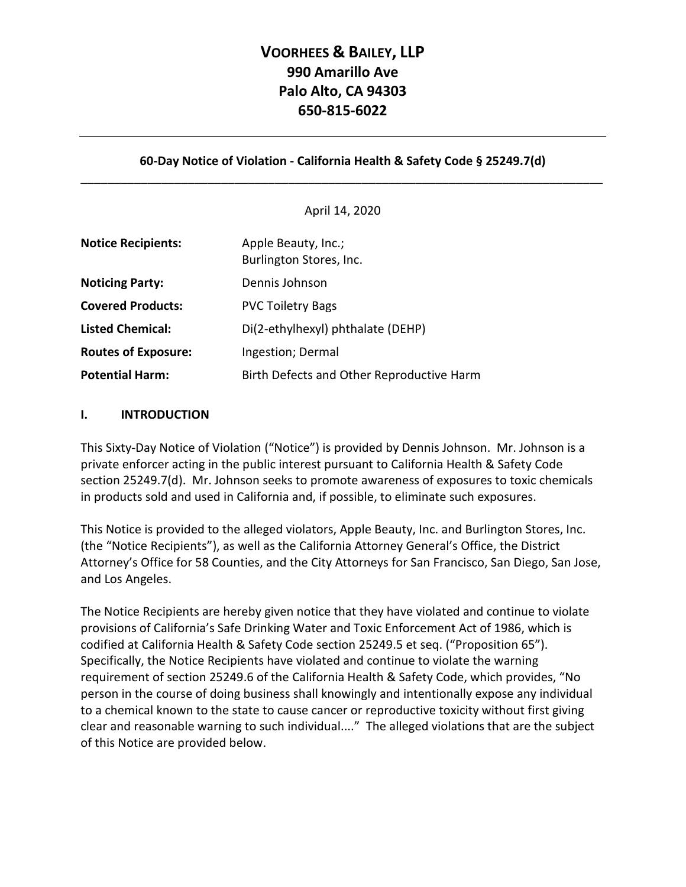## **VOORHEES & BAILEY, LLP 990 Amarillo Ave Palo Alto, CA 94303 650-815-6022**

## **60-Day Notice of Violation - California Health & Safety Code § 25249.7(d)** \_\_\_\_\_\_\_\_\_\_\_\_\_\_\_\_\_\_\_\_\_\_\_\_\_\_\_\_\_\_\_\_\_\_\_\_\_\_\_\_\_\_\_\_\_\_\_\_\_\_\_\_\_\_\_\_\_\_\_\_\_\_\_\_\_\_\_\_\_\_\_\_\_\_\_\_\_\_

#### April 14, 2020

| <b>Notice Recipients:</b>  | Apple Beauty, Inc.;<br>Burlington Stores, Inc. |  |
|----------------------------|------------------------------------------------|--|
| <b>Noticing Party:</b>     | Dennis Johnson                                 |  |
| <b>Covered Products:</b>   | <b>PVC Toiletry Bags</b>                       |  |
| <b>Listed Chemical:</b>    | Di(2-ethylhexyl) phthalate (DEHP)              |  |
| <b>Routes of Exposure:</b> | Ingestion; Dermal                              |  |
| <b>Potential Harm:</b>     | Birth Defects and Other Reproductive Harm      |  |

#### **I. INTRODUCTION**

This Sixty-Day Notice of Violation ("Notice") is provided by Dennis Johnson. Mr. Johnson is a private enforcer acting in the public interest pursuant to California Health & Safety Code section 25249.7(d). Mr. Johnson seeks to promote awareness of exposures to toxic chemicals in products sold and used in California and, if possible, to eliminate such exposures.

This Notice is provided to the alleged violators, Apple Beauty, Inc. and Burlington Stores, Inc. (the "Notice Recipients"), as well as the California Attorney General's Office, the District Attorney's Office for 58 Counties, and the City Attorneys for San Francisco, San Diego, San Jose, and Los Angeles.

The Notice Recipients are hereby given notice that they have violated and continue to violate provisions of California's Safe Drinking Water and Toxic Enforcement Act of 1986, which is codified at California Health & Safety Code section 25249.5 et seq. ("Proposition 65"). Specifically, the Notice Recipients have violated and continue to violate the warning requirement of section 25249.6 of the California Health & Safety Code, which provides, "No person in the course of doing business shall knowingly and intentionally expose any individual to a chemical known to the state to cause cancer or reproductive toxicity without first giving clear and reasonable warning to such individual...." The alleged violations that are the subject of this Notice are provided below.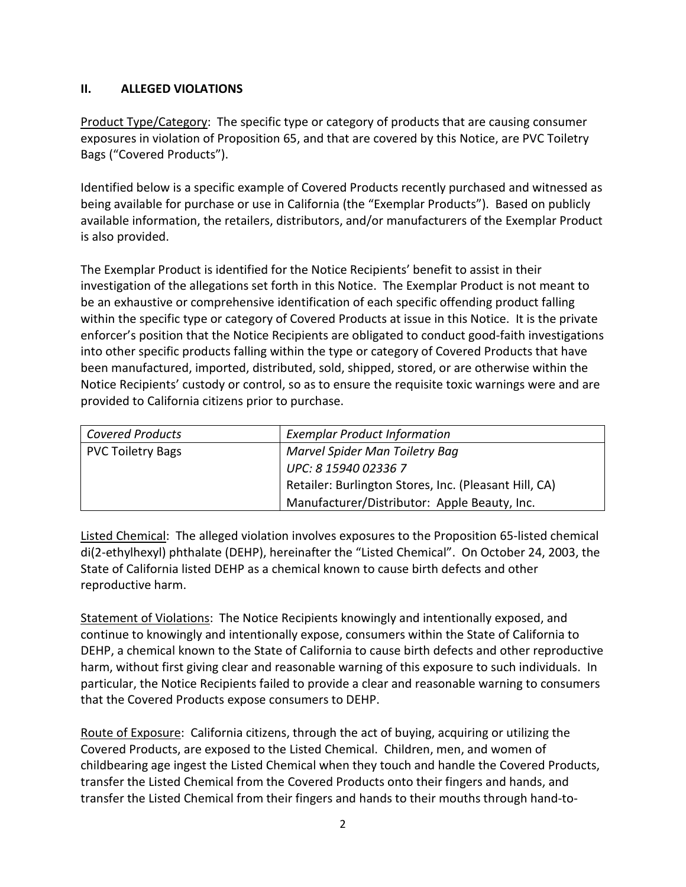## **II. ALLEGED VIOLATIONS**

Product Type/Category: The specific type or category of products that are causing consumer exposures in violation of Proposition 65, and that are covered by this Notice, are PVC Toiletry Bags ("Covered Products").

Identified below is a specific example of Covered Products recently purchased and witnessed as being available for purchase or use in California (the "Exemplar Products"). Based on publicly available information, the retailers, distributors, and/or manufacturers of the Exemplar Product is also provided.

The Exemplar Product is identified for the Notice Recipients' benefit to assist in their investigation of the allegations set forth in this Notice. The Exemplar Product is not meant to be an exhaustive or comprehensive identification of each specific offending product falling within the specific type or category of Covered Products at issue in this Notice. It is the private enforcer's position that the Notice Recipients are obligated to conduct good-faith investigations into other specific products falling within the type or category of Covered Products that have been manufactured, imported, distributed, sold, shipped, stored, or are otherwise within the Notice Recipients' custody or control, so as to ensure the requisite toxic warnings were and are provided to California citizens prior to purchase.

| <b>Covered Products</b>  | <b>Exemplar Product Information</b>                   |  |
|--------------------------|-------------------------------------------------------|--|
| <b>PVC Toiletry Bags</b> | Marvel Spider Man Toiletry Bag                        |  |
|                          | UPC: 8 15940 02336 7                                  |  |
|                          | Retailer: Burlington Stores, Inc. (Pleasant Hill, CA) |  |
|                          | Manufacturer/Distributor: Apple Beauty, Inc.          |  |

Listed Chemical: The alleged violation involves exposures to the Proposition 65-listed chemical di(2-ethylhexyl) phthalate (DEHP), hereinafter the "Listed Chemical". On October 24, 2003, the State of California listed DEHP as a chemical known to cause birth defects and other reproductive harm.

Statement of Violations: The Notice Recipients knowingly and intentionally exposed, and continue to knowingly and intentionally expose, consumers within the State of California to DEHP, a chemical known to the State of California to cause birth defects and other reproductive harm, without first giving clear and reasonable warning of this exposure to such individuals. In particular, the Notice Recipients failed to provide a clear and reasonable warning to consumers that the Covered Products expose consumers to DEHP.

Route of Exposure: California citizens, through the act of buying, acquiring or utilizing the Covered Products, are exposed to the Listed Chemical. Children, men, and women of childbearing age ingest the Listed Chemical when they touch and handle the Covered Products, transfer the Listed Chemical from the Covered Products onto their fingers and hands, and transfer the Listed Chemical from their fingers and hands to their mouths through hand-to-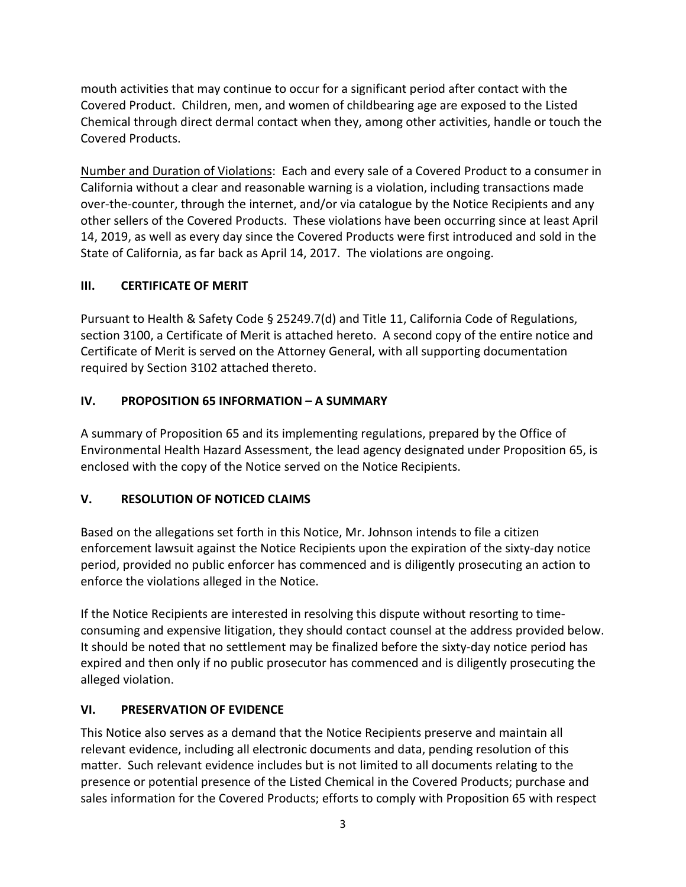mouth activities that may continue to occur for a significant period after contact with the Covered Product. Children, men, and women of childbearing age are exposed to the Listed Chemical through direct dermal contact when they, among other activities, handle or touch the Covered Products.

Number and Duration of Violations: Each and every sale of a Covered Product to a consumer in California without a clear and reasonable warning is a violation, including transactions made over-the-counter, through the internet, and/or via catalogue by the Notice Recipients and any other sellers of the Covered Products. These violations have been occurring since at least April 14, 2019, as well as every day since the Covered Products were first introduced and sold in the State of California, as far back as April 14, 2017. The violations are ongoing.

## **III. CERTIFICATE OF MERIT**

Pursuant to Health & Safety Code § 25249.7(d) and Title 11, California Code of Regulations, section 3100, a Certificate of Merit is attached hereto. A second copy of the entire notice and Certificate of Merit is served on the Attorney General, with all supporting documentation required by Section 3102 attached thereto.

## **IV. PROPOSITION 65 INFORMATION – A SUMMARY**

A summary of Proposition 65 and its implementing regulations, prepared by the Office of Environmental Health Hazard Assessment, the lead agency designated under Proposition 65, is enclosed with the copy of the Notice served on the Notice Recipients.

## **V. RESOLUTION OF NOTICED CLAIMS**

Based on the allegations set forth in this Notice, Mr. Johnson intends to file a citizen enforcement lawsuit against the Notice Recipients upon the expiration of the sixty-day notice period, provided no public enforcer has commenced and is diligently prosecuting an action to enforce the violations alleged in the Notice.

If the Notice Recipients are interested in resolving this dispute without resorting to timeconsuming and expensive litigation, they should contact counsel at the address provided below. It should be noted that no settlement may be finalized before the sixty-day notice period has expired and then only if no public prosecutor has commenced and is diligently prosecuting the alleged violation.

## **VI. PRESERVATION OF EVIDENCE**

This Notice also serves as a demand that the Notice Recipients preserve and maintain all relevant evidence, including all electronic documents and data, pending resolution of this matter. Such relevant evidence includes but is not limited to all documents relating to the presence or potential presence of the Listed Chemical in the Covered Products; purchase and sales information for the Covered Products; efforts to comply with Proposition 65 with respect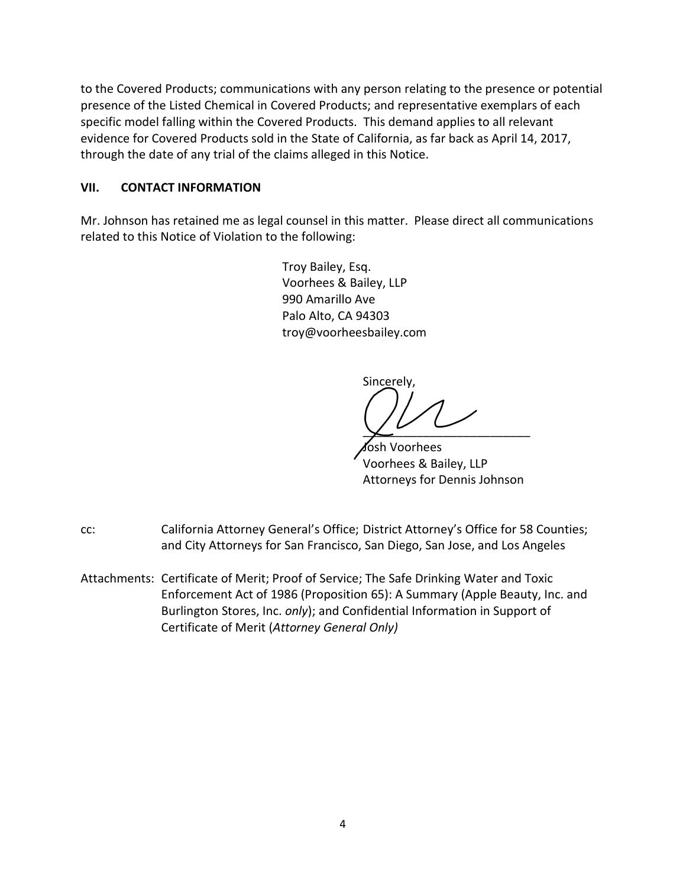to the Covered Products; communications with any person relating to the presence or potential presence of the Listed Chemical in Covered Products; and representative exemplars of each specific model falling within the Covered Products. This demand applies to all relevant evidence for Covered Products sold in the State of California, as far back as April 14, 2017, through the date of any trial of the claims alleged in this Notice.

## **VII. CONTACT INFORMATION**

Mr. Johnson has retained me as legal counsel in this matter. Please direct all communications related to this Notice of Violation to the following:

> Troy Bailey, Esq. Voorhees & Bailey, LLP 990 Amarillo Ave Palo Alto, CA 94303 troy@voorheesbailey.com

Sincerely,

 $\chi^2$ 

 Josh Voorhees Voorhees & Bailey, LLP Attorneys for Dennis Johnson

- cc: California Attorney General's Office; District Attorney's Office for 58 Counties; and City Attorneys for San Francisco, San Diego, San Jose, and Los Angeles
- Attachments: Certificate of Merit; Proof of Service; The Safe Drinking Water and Toxic Enforcement Act of 1986 (Proposition 65): A Summary (Apple Beauty, Inc. and Burlington Stores, Inc. *only*); and Confidential Information in Support of Certificate of Merit (*Attorney General Only)*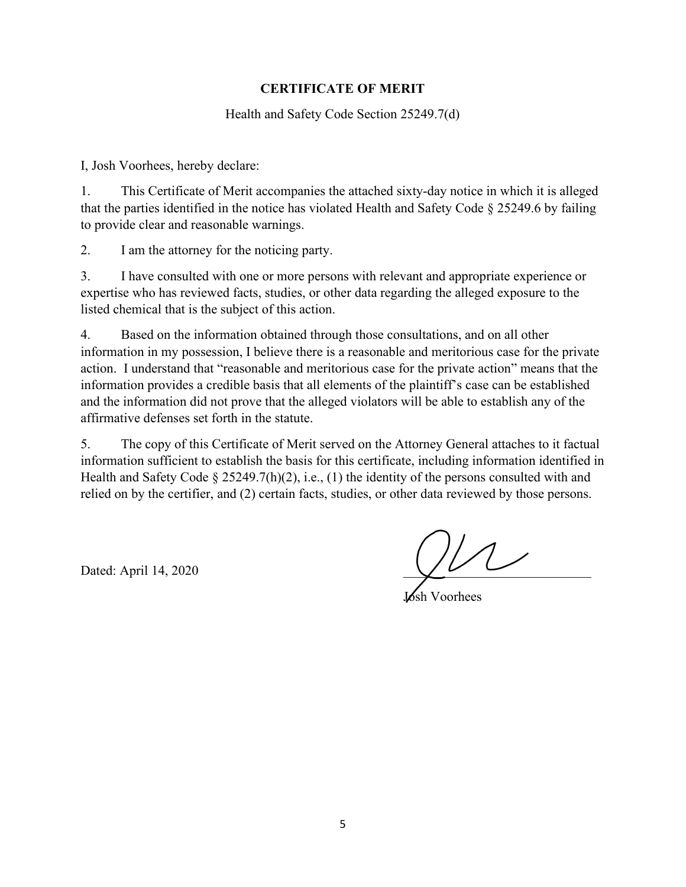## **CERTIFICATE OF MERIT**

Health and Safety Code Section 25249.7(d)

I, Josh Voorhees, hereby declare:

1. This Certificate of Merit accompanies the attached sixty-day notice in which it is alleged that the parties identified in the notice has violated Health and Safety Code § 25249.6 by failing to provide clear and reasonable warnings.

2. I am the attorney for the noticing party.

3. I have consulted with one or more persons with relevant and appropriate experience or expertise who has reviewed facts, studies, or other data regarding the alleged exposure to the listed chemical that is the subject of this action.

4. Based on the information obtained through those consultations, and on all other information in my possession, I believe there is a reasonable and meritorious case for the private action. I understand that "reasonable and meritorious case for the private action" means that the information provides a credible basis that all elements of the plaintiff's case can be established and the information did not prove that the alleged violators will be able to establish any of the affirmative defenses set forth in the statute.

5. The copy of this Certificate of Merit served on the Attorney General attaches to it factual information sufficient to establish the basis for this certificate, including information identified in Health and Safety Code § 25249.7(h)(2), i.e., (1) the identity of the persons consulted with and relied on by the certifier, and (2) certain facts, studies, or other data reviewed by those persons.

Dated: April 14, 2020

Josh Voorhees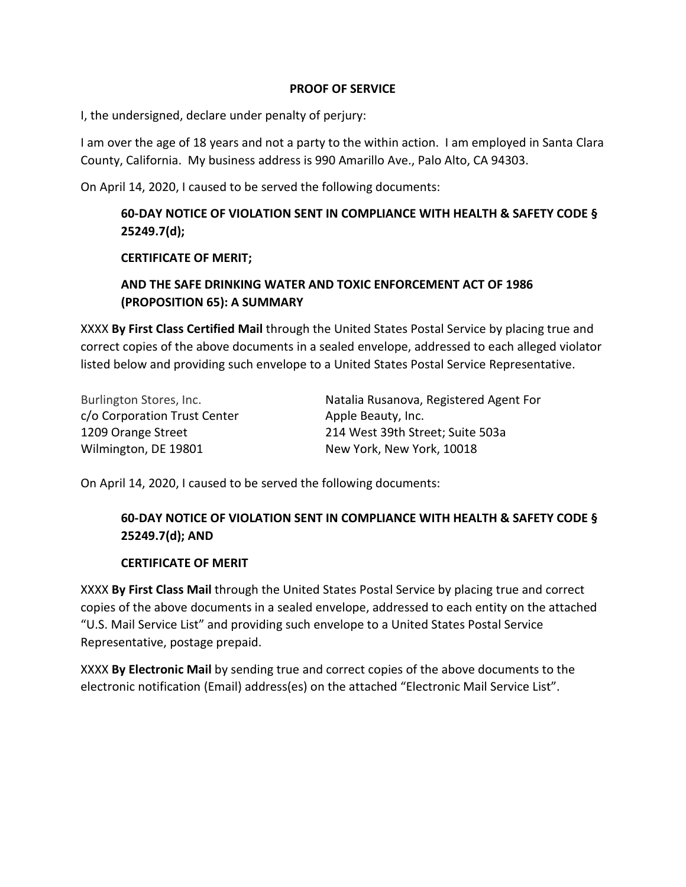#### **PROOF OF SERVICE**

I, the undersigned, declare under penalty of perjury:

I am over the age of 18 years and not a party to the within action. I am employed in Santa Clara County, California. My business address is 990 Amarillo Ave., Palo Alto, CA 94303.

On April 14, 2020, I caused to be served the following documents:

## **60-DAY NOTICE OF VIOLATION SENT IN COMPLIANCE WITH HEALTH & SAFETY CODE § 25249.7(d);**

#### **CERTIFICATE OF MERIT;**

## **AND THE SAFE DRINKING WATER AND TOXIC ENFORCEMENT ACT OF 1986 (PROPOSITION 65): A SUMMARY**

XXXX **By First Class Certified Mail** through the United States Postal Service by placing true and correct copies of the above documents in a sealed envelope, addressed to each alleged violator listed below and providing such envelope to a United States Postal Service Representative.

| Burlington Stores, Inc.      | Natalia Rusanova, Registered Agent For |
|------------------------------|----------------------------------------|
| c/o Corporation Trust Center | Apple Beauty, Inc.                     |
| 1209 Orange Street           | 214 West 39th Street; Suite 503a       |
| Wilmington, DE 19801         | New York, New York, 10018              |

On April 14, 2020, I caused to be served the following documents:

## **60-DAY NOTICE OF VIOLATION SENT IN COMPLIANCE WITH HEALTH & SAFETY CODE § 25249.7(d); AND**

#### **CERTIFICATE OF MERIT**

XXXX **By First Class Mail** through the United States Postal Service by placing true and correct copies of the above documents in a sealed envelope, addressed to each entity on the attached "U.S. Mail Service List" and providing such envelope to a United States Postal Service Representative, postage prepaid.

XXXX **By Electronic Mail** by sending true and correct copies of the above documents to the electronic notification (Email) address(es) on the attached "Electronic Mail Service List".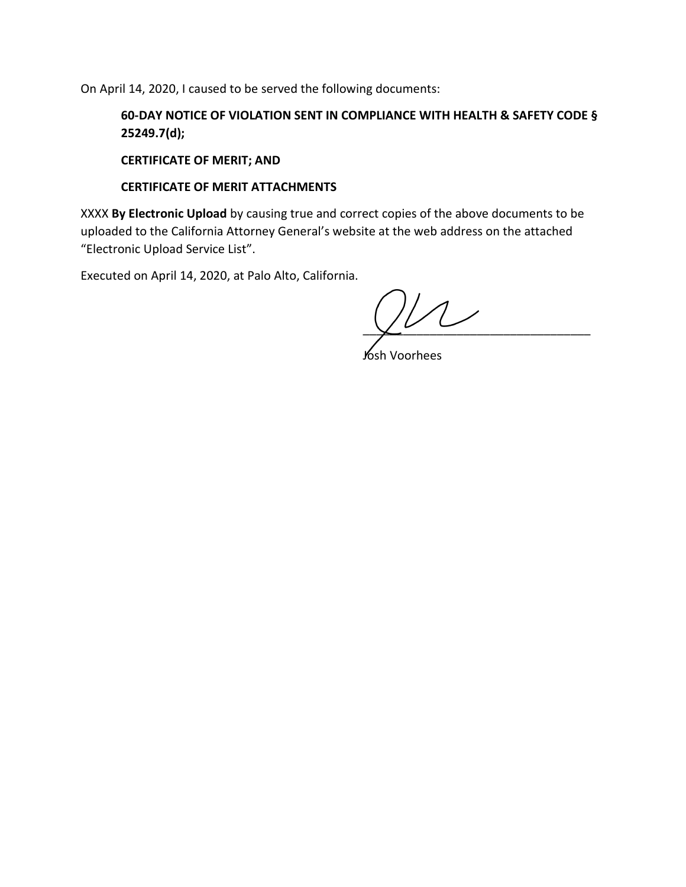On April 14, 2020, I caused to be served the following documents:

**60-DAY NOTICE OF VIOLATION SENT IN COMPLIANCE WITH HEALTH & SAFETY CODE § 25249.7(d);** 

**CERTIFICATE OF MERIT; AND** 

#### **CERTIFICATE OF MERIT ATTACHMENTS**

XXXX **By Electronic Upload** by causing true and correct copies of the above documents to be uploaded to the California Attorney General's website at the web address on the attached "Electronic Upload Service List".

Executed on April 14, 2020, at Palo Alto, California.

 $\chi^2$ 

Josh Voorhees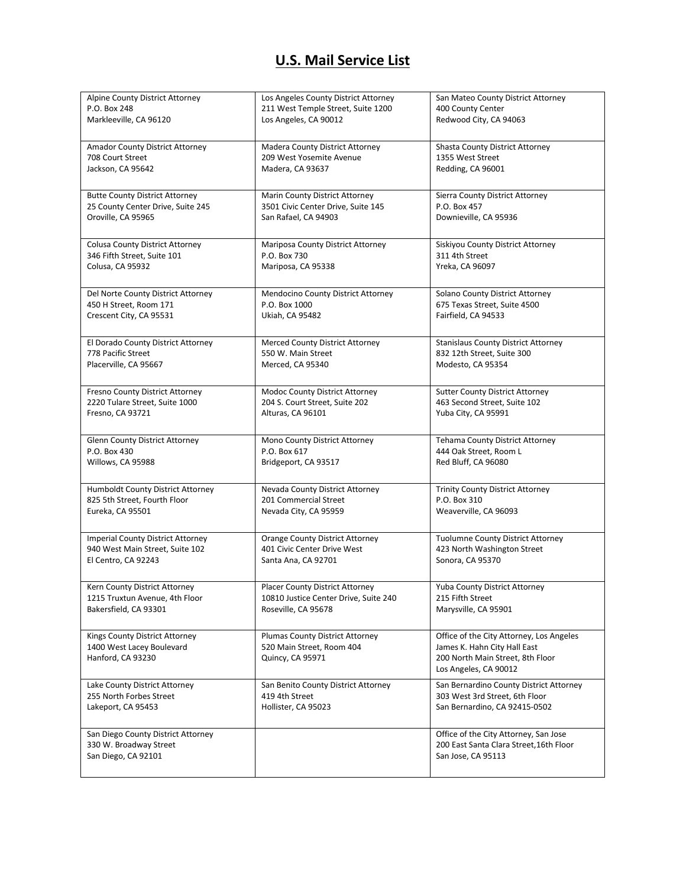# **U.S. Mail Service List**

| Alpine County District Attorney                                                     | Los Angeles County District Attorney                                                           | San Mateo County District Attorney                                                                                                    |
|-------------------------------------------------------------------------------------|------------------------------------------------------------------------------------------------|---------------------------------------------------------------------------------------------------------------------------------------|
| P.O. Box 248                                                                        | 211 West Temple Street, Suite 1200                                                             | 400 County Center                                                                                                                     |
| Markleeville, CA 96120                                                              | Los Angeles, CA 90012                                                                          | Redwood City, CA 94063                                                                                                                |
| Amador County District Attorney                                                     | Madera County District Attorney                                                                | Shasta County District Attorney                                                                                                       |
| 708 Court Street                                                                    | 209 West Yosemite Avenue                                                                       | 1355 West Street                                                                                                                      |
| Jackson, CA 95642                                                                   | Madera, CA 93637                                                                               | Redding, CA 96001                                                                                                                     |
| <b>Butte County District Attorney</b>                                               | Marin County District Attorney                                                                 | Sierra County District Attorney                                                                                                       |
| 25 County Center Drive, Suite 245                                                   | 3501 Civic Center Drive, Suite 145                                                             | P.O. Box 457                                                                                                                          |
| Oroville, CA 95965                                                                  | San Rafael, CA 94903                                                                           | Downieville, CA 95936                                                                                                                 |
| <b>Colusa County District Attorney</b>                                              | Mariposa County District Attorney                                                              | Siskiyou County District Attorney                                                                                                     |
| 346 Fifth Street, Suite 101                                                         | P.O. Box 730                                                                                   | 311 4th Street                                                                                                                        |
| Colusa, CA 95932                                                                    | Mariposa, CA 95338                                                                             | Yreka, CA 96097                                                                                                                       |
| Del Norte County District Attorney                                                  | Mendocino County District Attorney                                                             | Solano County District Attorney                                                                                                       |
| 450 H Street, Room 171                                                              | P.O. Box 1000                                                                                  | 675 Texas Street, Suite 4500                                                                                                          |
| Crescent City, CA 95531                                                             | Ukiah, CA 95482                                                                                | Fairfield, CA 94533                                                                                                                   |
| El Dorado County District Attorney                                                  | Merced County District Attorney                                                                | <b>Stanislaus County District Attorney</b>                                                                                            |
| 778 Pacific Street                                                                  | 550 W. Main Street                                                                             | 832 12th Street, Suite 300                                                                                                            |
| Placerville, CA 95667                                                               | Merced, CA 95340                                                                               | Modesto, CA 95354                                                                                                                     |
| Fresno County District Attorney                                                     | Modoc County District Attorney                                                                 | <b>Sutter County District Attorney</b>                                                                                                |
| 2220 Tulare Street, Suite 1000                                                      | 204 S. Court Street, Suite 202                                                                 | 463 Second Street, Suite 102                                                                                                          |
| Fresno, CA 93721                                                                    | Alturas, CA 96101                                                                              | Yuba City, CA 95991                                                                                                                   |
| <b>Glenn County District Attorney</b>                                               | Mono County District Attorney                                                                  | <b>Tehama County District Attorney</b>                                                                                                |
| P.O. Box 430                                                                        | P.O. Box 617                                                                                   | 444 Oak Street, Room L                                                                                                                |
| Willows, CA 95988                                                                   | Bridgeport, CA 93517                                                                           | Red Bluff, CA 96080                                                                                                                   |
| Humboldt County District Attorney                                                   | Nevada County District Attorney                                                                | <b>Trinity County District Attorney</b>                                                                                               |
| 825 5th Street, Fourth Floor                                                        | 201 Commercial Street                                                                          | P.O. Box 310                                                                                                                          |
| Eureka, CA 95501                                                                    | Nevada City, CA 95959                                                                          | Weaverville, CA 96093                                                                                                                 |
| <b>Imperial County District Attorney</b>                                            | <b>Orange County District Attorney</b>                                                         | <b>Tuolumne County District Attorney</b>                                                                                              |
| 940 West Main Street, Suite 102                                                     | 401 Civic Center Drive West                                                                    | 423 North Washington Street                                                                                                           |
| El Centro, CA 92243                                                                 | Santa Ana, CA 92701                                                                            | Sonora, CA 95370                                                                                                                      |
| Kern County District Attorney                                                       | <b>Placer County District Attorney</b>                                                         | Yuba County District Attorney                                                                                                         |
| 1215 Truxtun Avenue, 4th Floor                                                      | 10810 Justice Center Drive, Suite 240                                                          | 215 Fifth Street                                                                                                                      |
| Bakersfield, CA 93301                                                               | Roseville, CA 95678                                                                            | Marysville, CA 95901                                                                                                                  |
| Kings County District Attorney<br>1400 West Lacey Boulevard<br>Hanford, CA 93230    | <b>Plumas County District Attorney</b><br>520 Main Street, Room 404<br><b>Quincy, CA 95971</b> | Office of the City Attorney, Los Angeles<br>James K. Hahn City Hall East<br>200 North Main Street, 8th Floor<br>Los Angeles, CA 90012 |
| Lake County District Attorney                                                       | San Benito County District Attorney                                                            | San Bernardino County District Attorney                                                                                               |
| 255 North Forbes Street                                                             | 419 4th Street                                                                                 | 303 West 3rd Street, 6th Floor                                                                                                        |
| Lakeport, CA 95453                                                                  | Hollister, CA 95023                                                                            | San Bernardino, CA 92415-0502                                                                                                         |
| San Diego County District Attorney<br>330 W. Broadway Street<br>San Diego, CA 92101 |                                                                                                | Office of the City Attorney, San Jose<br>200 East Santa Clara Street, 16th Floor<br>San Jose, CA 95113                                |